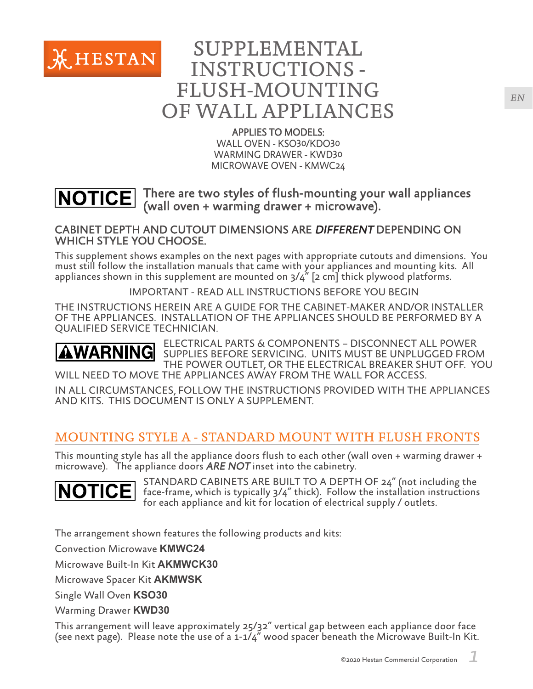

# SUPPLEMENTAL INSTRUCTIONS - FLUSH-MOUNTING OF WALL APPLIANCES

#### APPLIES TO MODELS:

WALL OVEN - KSO30/KDO30 WARMING DRAWER - KWD30 MICROWAVE OVEN - KMWC24

#### There are two styles of flush-mounting your wall appliances **NOTICE** (wall oven + warming drawer + microwave).

#### CABINET DEPTH AND CUTOUT DIMENSIONS ARE DIFFERENT DEPENDING ON WHICH STYLE YOU CHOOSE.

This supplement shows examples on the next pages with appropriate cutouts and dimensions. You must still follow the installation manuals that came with your appliances and mounting kits. All appliances shown in this supplement are mounted on 3/4" [2 cm] thick plywood platforms.

IMPORTANT - READ ALL INSTRUCTIONS BEFORE YOU BEGIN

THE INSTRUCTIONS HEREIN ARE A GUIDE FOR THE CABINET-MAKER AND/OR INSTALLER OF THE APPLIANCES. INSTALLATION OF THE APPLIANCES SHOULD BE PERFORMED BY A QUALIFIED SERVICE TECHNICIAN.

ELECTRICAL PARTS & COMPONENTS – DISCONNECT ALL POWER SUPPLIES BEFORE SERVICING. UNITS MUST BE UNPLUGGED FROM THE POWER OUTLET, OR THE ELECTRICAL BREAKER SHUT OFF. YOU WILL NEED TO MOVE THE APPLIANCES AWAY FROM THE WALL FOR ACCESS.

IN ALL CIRCUMSTANCES, FOLLOW THE INSTRUCTIONS PROVIDED WITH THE APPLIANCES AND KITS. THIS DOCUMENT IS ONLY A SUPPLEMENT.

# MOUNTING STYLE A - STANDARD MOUNT WITH FLUSH FRONTS

This mounting style has all the appliance doors flush to each other (wall oven + warming drawer + microwave). The appliance doors ARE NOT inset into the cabinetry.



STANDARD CABINETS ARE BUILT TO A DEPTH OF 24" (not including the face-frame, which is typically 3/4" thick). Follow the installation instructions for each appliance and kit for location of electrical supply / outlets.

The arrangement shown features the following products and kits:

Convection Microwave **KMWC24**

Microwave Built-In Kit **AKMWCK30**

Microwave Spacer Kit **AKMWSK**

Single Wall Oven **KSO30**

Warming Drawer **KWD30**

This arrangement will leave approximately 25/32" vertical gap between each appliance door face (see next page). Please note the use of a 1-1/4" wood spacer beneath the Microwave Built-In Kit.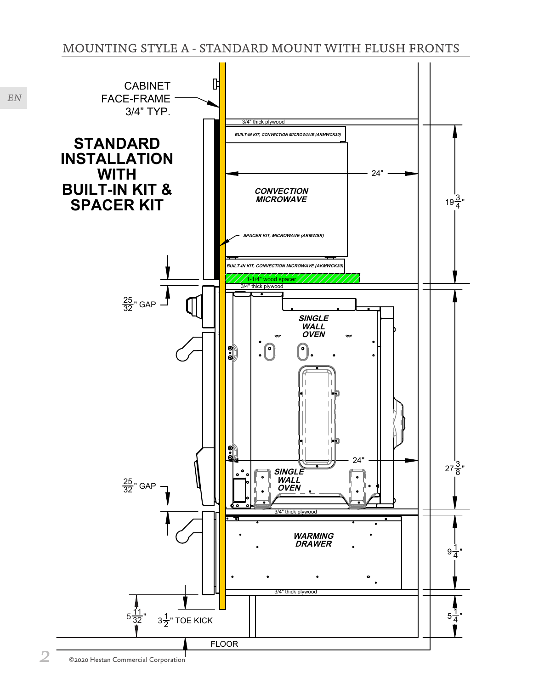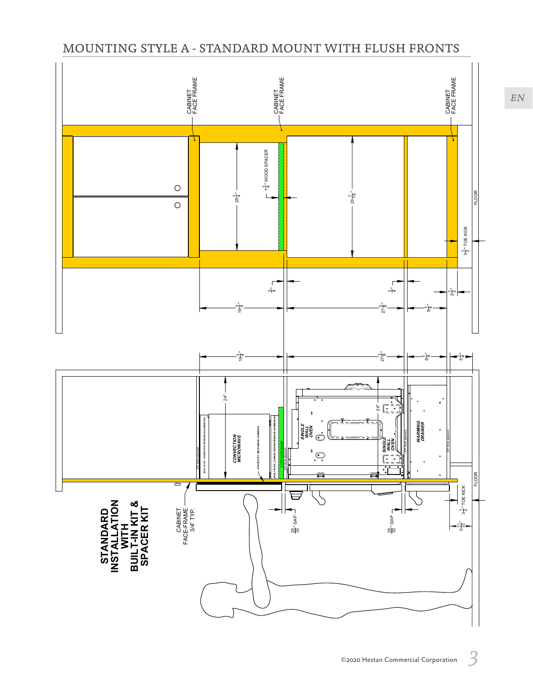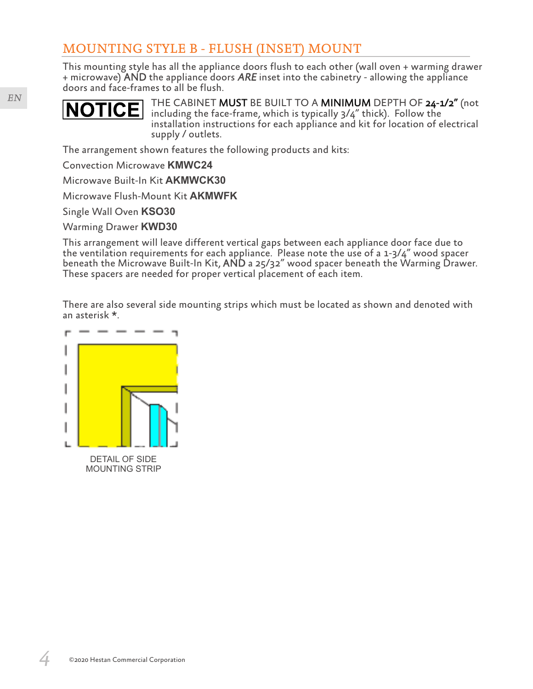This mounting style has all the appliance doors flush to each other (wall oven + warming drawer  $+$  microwave) AND the appliance doors ARE inset into the cabinetry - allowing the appliance doors and face-frames to all be flush.



THE CABINET MUST BE BUILT TO A MINIMUM DEPTH OF 24-1/2" (not including the face-frame, which is typically 3/4" thick). Follow the installation instructions for each appliance and kit for location of electrical supply / outlets.

The arrangement shown features the following products and kits:

Convection Microwave **KMWC24**

Microwave Built-In Kit **AKMWCK30**

Microwave Flush-Mount Kit **AKMWFK**

Single Wall Oven **KSO30**

Warming Drawer **KWD30**

This arrangement will leave different vertical gaps between each appliance door face due to the ventilation requirements for each appliance. Please note the use of a 1-3/4" wood spacer beneath the Microwave Built-In Kit, AND a 25/32" wood spacer beneath the Warming Drawer. These spacers are needed for proper vertical placement of each item.

There are also several side mounting strips which must be located as shown and denoted with an asterisk \*.

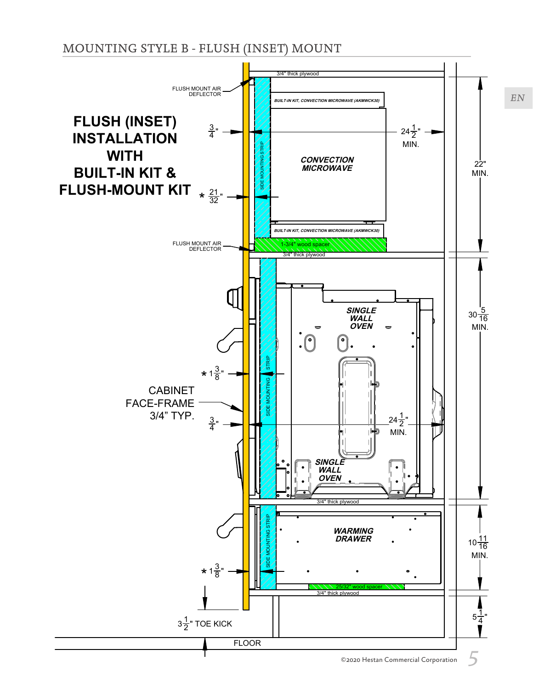

©2020 Hestan Commercial Corporation 5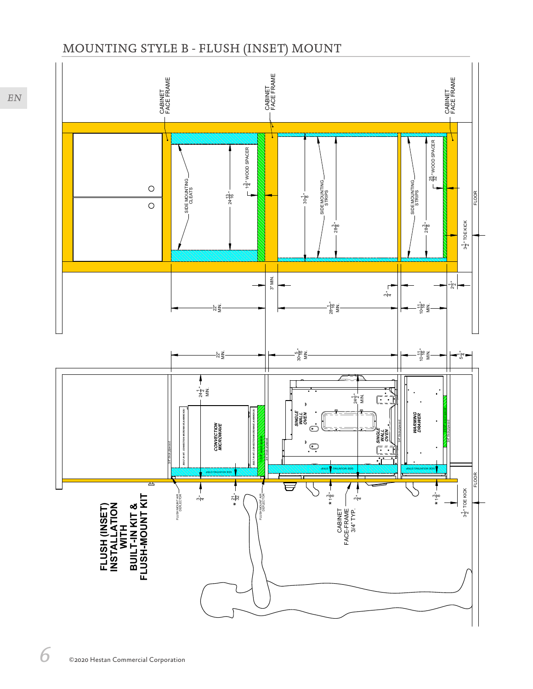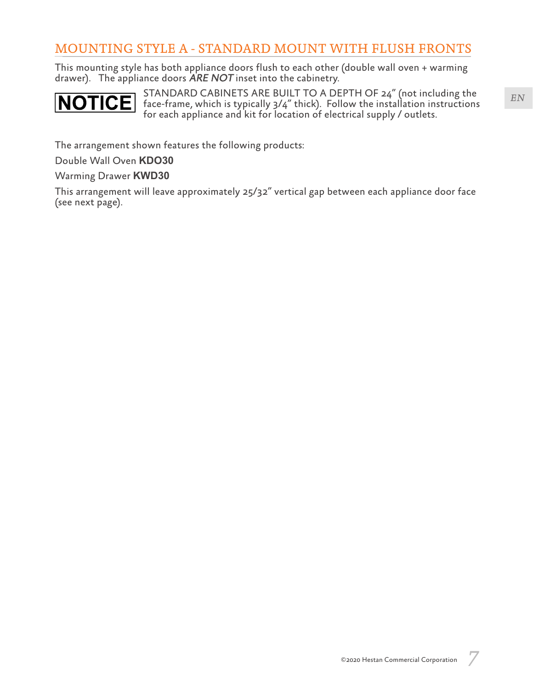This mounting style has both appliance doors flush to each other (double wall oven + warming drawer). The appliance doors ARE NOT inset into the cabinetry.



STANDARD CABINETS ARE BUILT TO A DEPTH OF 24" (not including the face-frame, which is typically 3/4" thick). Follow the installation instructions for each appliance and kit for location of electrical supply / outlets.

The arrangement shown features the following products:

Double Wall Oven **KDO30**

Warming Drawer **KWD30**

This arrangement will leave approximately 25/32" vertical gap between each appliance door face (see next page).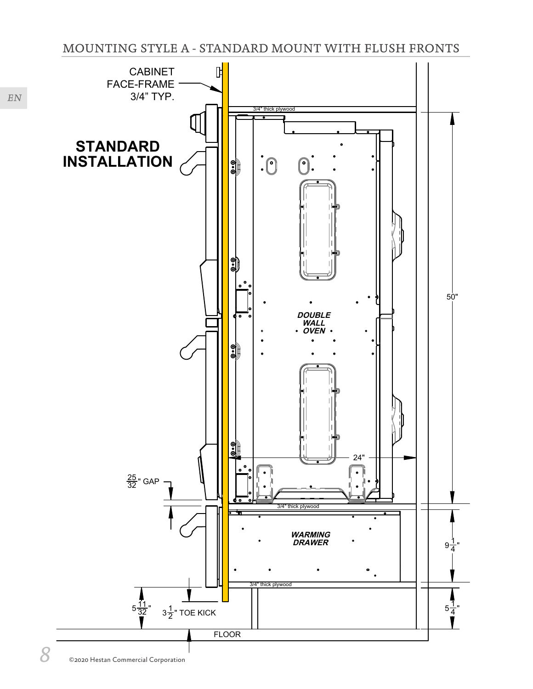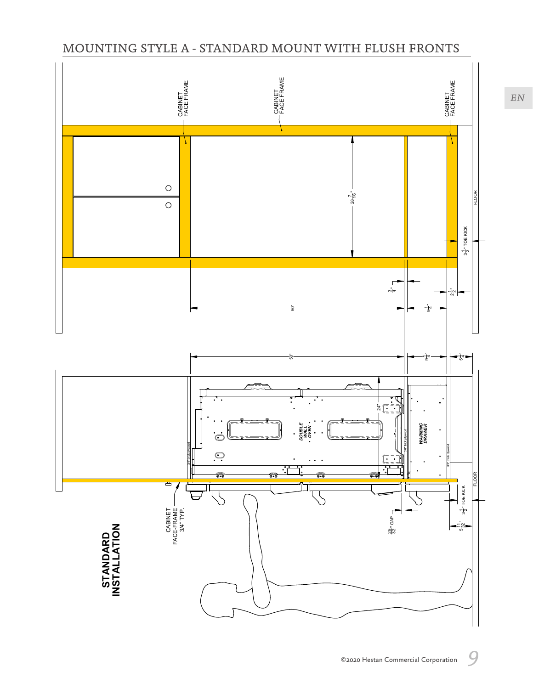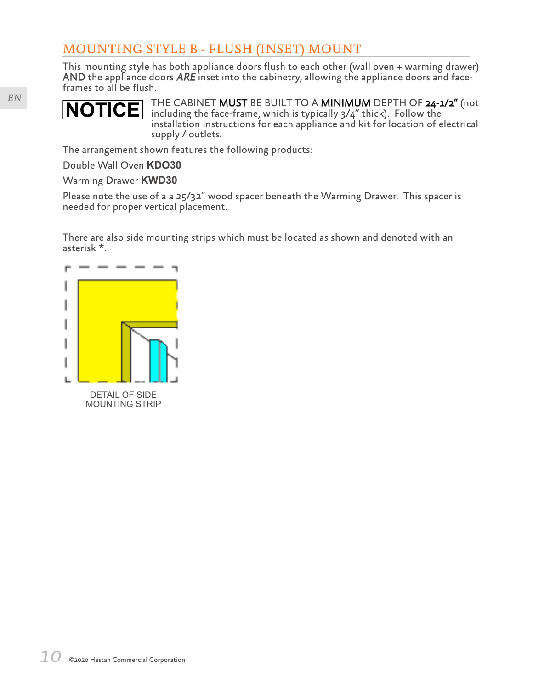This mounting style has both appliance doors flush to each other (wall oven + warming drawer) AND the appliance doors  $ARE$  inset into the cabinetry, allowing the appliance doors and faceframes to all be flush.



THE CABINET MUST BE BUILT TO A MINIMUM DEPTH OF 24-1/2" (not including the face-frame, which is typically 3/4" thick). Follow the installation instructions for each appliance and kit for location of electrical supply / outlets.

The arrangement shown features the following products:

Double Wall Oven **KDO30**

Warming Drawer **KWD30**

Please note the use of a a 25/32" wood spacer beneath the Warming Drawer. This spacer is needed for proper vertical placement.

There are also side mounting strips which must be located as shown and denoted with an asterisk \*.

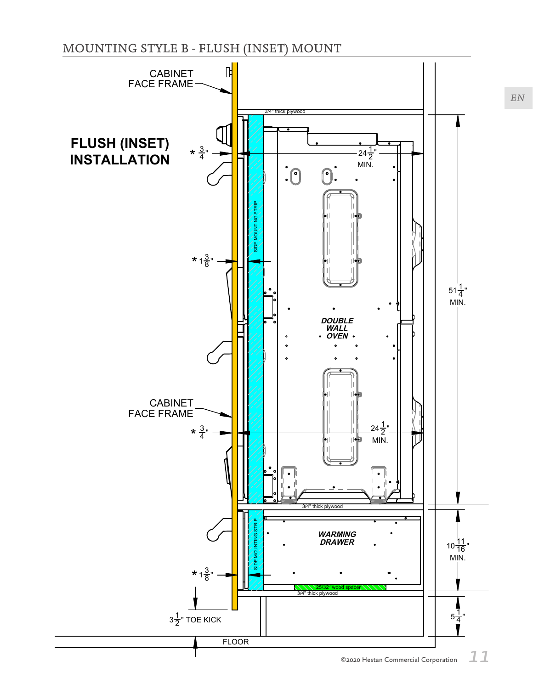